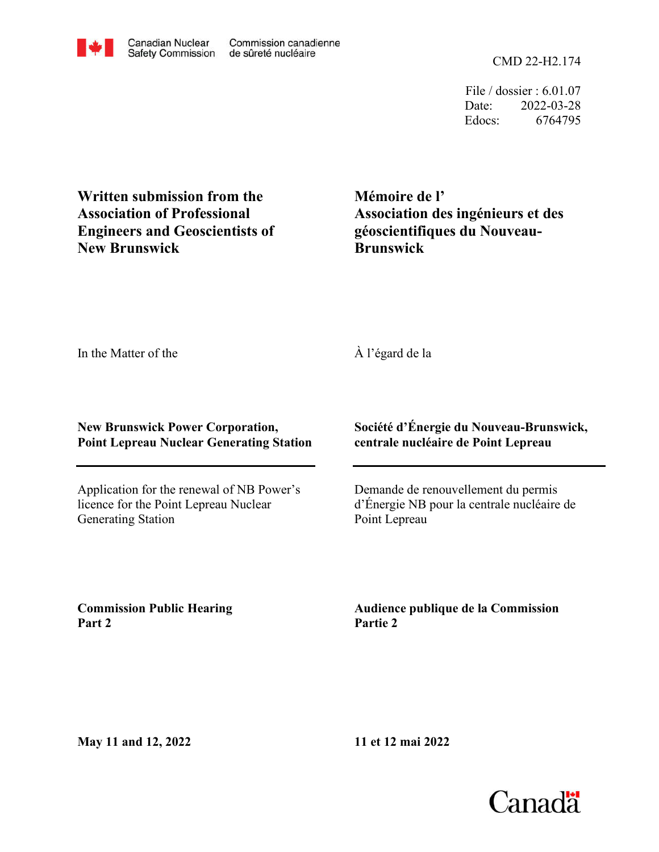CMD 22-H2.174

File / dossier : 6.01.07 Date: 2022-03-28 Edocs: 6764795

**Written submission from the Association of Professional Engineers and Geoscientists of New Brunswick**

**Mémoire de l' Association des ingénieurs et des géoscientifiques du Nouveau-Brunswick**

In the Matter of the

## À l'égard de la

**New Brunswick Power Corporation, Point Lepreau Nuclear Generating Station**

Application for the renewal of NB Power's licence for the Point Lepreau Nuclear Generating Station

**Société d'Énergie du Nouveau-Brunswick, centrale nucléaire de Point Lepreau**

Demande de renouvellement du permis d'Énergie NB pour la centrale nucléaire de Point Lepreau

**Commission Public Hearing Part 2**

**Audience publique de la Commission Partie 2**

**11 et 12 mai 2022**

**May 11 and 12, 2022**